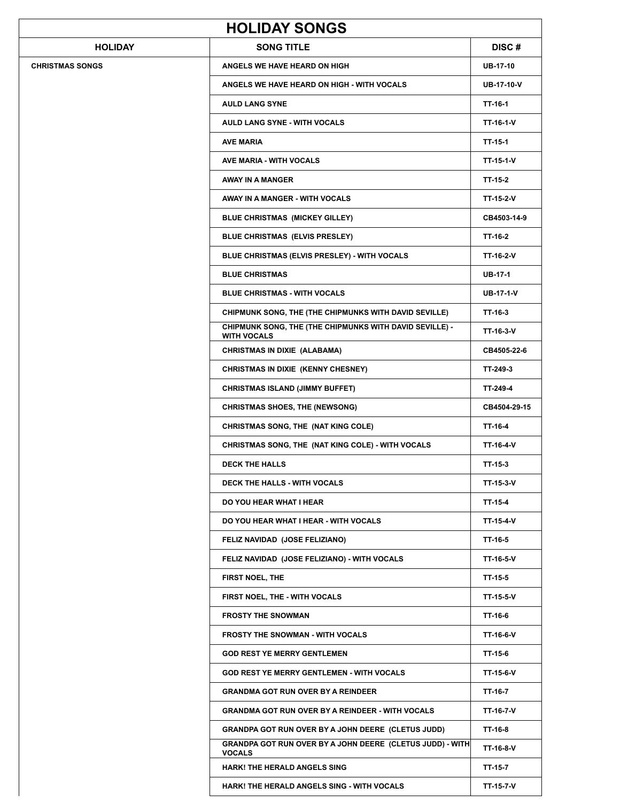| <b>HOLIDAY SONGS</b>   |                                                                               |                   |  |  |
|------------------------|-------------------------------------------------------------------------------|-------------------|--|--|
| <b>HOLIDAY</b>         | <b>SONG TITLE</b>                                                             | DISC#             |  |  |
| <b>CHRISTMAS SONGS</b> | ANGELS WE HAVE HEARD ON HIGH                                                  | <b>UB-17-10</b>   |  |  |
|                        | ANGELS WE HAVE HEARD ON HIGH - WITH VOCALS                                    | <b>UB-17-10-V</b> |  |  |
|                        | <b>AULD LANG SYNE</b>                                                         | TT-16-1           |  |  |
|                        | <b>AULD LANG SYNE - WITH VOCALS</b>                                           | TT-16-1-V         |  |  |
|                        | <b>AVE MARIA</b>                                                              | TT-15-1           |  |  |
|                        | <b>AVE MARIA - WITH VOCALS</b>                                                | TT-15-1-V         |  |  |
|                        | AWAY IN A MANGER                                                              | TT-15-2           |  |  |
|                        | AWAY IN A MANGER - WITH VOCALS                                                | TT-15-2-V         |  |  |
|                        | <b>BLUE CHRISTMAS (MICKEY GILLEY)</b>                                         | CB4503-14-9       |  |  |
|                        | <b>BLUE CHRISTMAS (ELVIS PRESLEY)</b>                                         | TT-16-2           |  |  |
|                        | BLUE CHRISTMAS (ELVIS PRESLEY) - WITH VOCALS                                  | TT-16-2-V         |  |  |
|                        | <b>BLUE CHRISTMAS</b>                                                         | UB-17-1           |  |  |
|                        | <b>BLUE CHRISTMAS - WITH VOCALS</b>                                           | <b>UB-17-1-V</b>  |  |  |
|                        | CHIPMUNK SONG, THE (THE CHIPMUNKS WITH DAVID SEVILLE)                         | TT-16-3           |  |  |
|                        | CHIPMUNK SONG, THE (THE CHIPMUNKS WITH DAVID SEVILLE) -<br><b>WITH VOCALS</b> | TT-16-3-V         |  |  |
|                        | <b>CHRISTMAS IN DIXIE (ALABAMA)</b>                                           | CB4505-22-6       |  |  |
|                        | CHRISTMAS IN DIXIE (KENNY CHESNEY)                                            | TT-249-3          |  |  |
|                        | <b>CHRISTMAS ISLAND (JIMMY BUFFET)</b>                                        | TT-249-4          |  |  |
|                        | <b>CHRISTMAS SHOES, THE (NEWSONG)</b>                                         | CB4504-29-15      |  |  |
|                        | CHRISTMAS SONG, THE (NAT KING COLE)                                           | TT-16-4           |  |  |
|                        | CHRISTMAS SONG, THE (NAT KING COLE) - WITH VOCALS                             | TT-16-4-V         |  |  |
|                        | <b>DECK THE HALLS</b>                                                         | TT-15-3           |  |  |
|                        | DECK THE HALLS - WITH VOCALS                                                  | TT-15-3-V         |  |  |
|                        | DO YOU HEAR WHAT I HEAR                                                       | TT-15-4           |  |  |
|                        | DO YOU HEAR WHAT I HEAR - WITH VOCALS                                         | TT-15-4-V         |  |  |
|                        | FELIZ NAVIDAD (JOSE FELIZIANO)                                                | TT-16-5           |  |  |
|                        | FELIZ NAVIDAD (JOSE FELIZIANO) - WITH VOCALS                                  | TT-16-5-V         |  |  |
|                        | FIRST NOEL, THE                                                               | TT-15-5           |  |  |
|                        | FIRST NOEL, THE - WITH VOCALS                                                 | TT-15-5-V         |  |  |
|                        | <b>FROSTY THE SNOWMAN</b>                                                     | TT-16-6           |  |  |
|                        | <b>FROSTY THE SNOWMAN - WITH VOCALS</b>                                       | TT-16-6-V         |  |  |
|                        | <b>GOD REST YE MERRY GENTLEMEN</b>                                            | TT-15-6           |  |  |
|                        | <b>GOD REST YE MERRY GENTLEMEN - WITH VOCALS</b>                              | TT-15-6-V         |  |  |
|                        | <b>GRANDMA GOT RUN OVER BY A REINDEER</b>                                     | TT-16-7           |  |  |
|                        | <b>GRANDMA GOT RUN OVER BY A REINDEER - WITH VOCALS</b>                       | TT-16-7-V         |  |  |
|                        | <b>GRANDPA GOT RUN OVER BY A JOHN DEERE (CLETUS JUDD)</b>                     | TT-16-8           |  |  |
|                        | GRANDPA GOT RUN OVER BY A JOHN DEERE (CLETUS JUDD) - WITH<br><b>VOCALS</b>    | TT-16-8-V         |  |  |
|                        | <b>HARK! THE HERALD ANGELS SING</b>                                           | TT-15-7           |  |  |
|                        | HARK! THE HERALD ANGELS SING - WITH VOCALS                                    | TT-15-7-V         |  |  |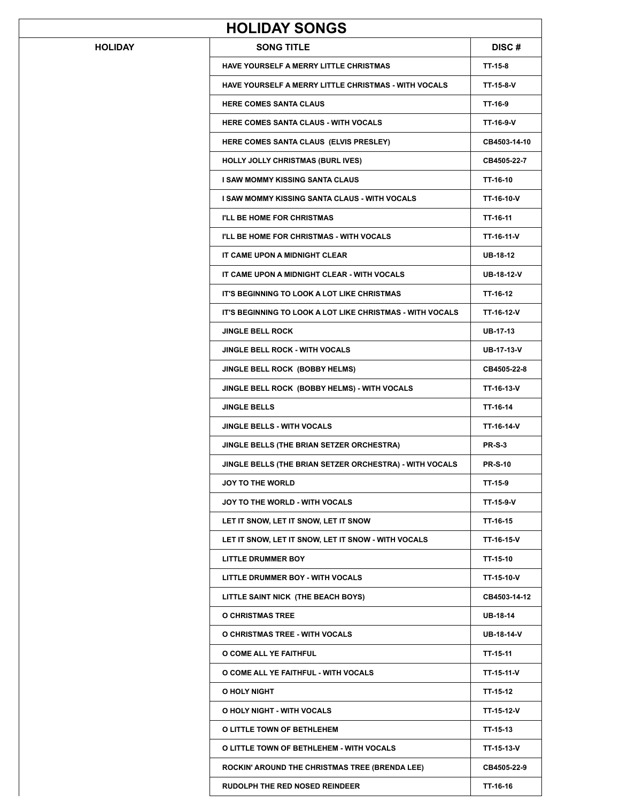| <b>HOLIDAY SONGS</b> |                                                           |                   |  |  |
|----------------------|-----------------------------------------------------------|-------------------|--|--|
| <b>HOLIDAY</b>       | <b>SONG TITLE</b>                                         | DISC#             |  |  |
|                      | HAVE YOURSELF A MERRY LITTLE CHRISTMAS                    | TT-15-8           |  |  |
|                      | HAVE YOURSELF A MERRY LITTLE CHRISTMAS - WITH VOCALS      | TT-15-8-V         |  |  |
|                      | <b>HERE COMES SANTA CLAUS</b>                             | TT-16-9           |  |  |
|                      | <b>HERE COMES SANTA CLAUS - WITH VOCALS</b>               | TT-16-9-V         |  |  |
|                      | HERE COMES SANTA CLAUS (ELVIS PRESLEY)                    | CB4503-14-10      |  |  |
|                      | <b>HOLLY JOLLY CHRISTMAS (BURL IVES)</b>                  | CB4505-22-7       |  |  |
|                      | I SAW MOMMY KISSING SANTA CLAUS                           | TT-16-10          |  |  |
|                      | I SAW MOMMY KISSING SANTA CLAUS - WITH VOCALS             | TT-16-10-V        |  |  |
|                      | I'LL BE HOME FOR CHRISTMAS                                | TT-16-11          |  |  |
|                      | I'LL BE HOME FOR CHRISTMAS - WITH VOCALS                  | TT-16-11-V        |  |  |
|                      | IT CAME UPON A MIDNIGHT CLEAR                             | <b>UB-18-12</b>   |  |  |
|                      | IT CAME UPON A MIDNIGHT CLEAR - WITH VOCALS               | <b>UB-18-12-V</b> |  |  |
|                      | IT'S BEGINNING TO LOOK A LOT LIKE CHRISTMAS               | TT-16-12          |  |  |
|                      | IT'S BEGINNING TO LOOK A LOT LIKE CHRISTMAS - WITH VOCALS | TT-16-12-V        |  |  |
|                      | <b>JINGLE BELL ROCK</b>                                   | <b>UB-17-13</b>   |  |  |
|                      | <b>JINGLE BELL ROCK - WITH VOCALS</b>                     | <b>UB-17-13-V</b> |  |  |
|                      | JINGLE BELL ROCK (BOBBY HELMS)                            | CB4505-22-8       |  |  |
|                      | JINGLE BELL ROCK (BOBBY HELMS) - WITH VOCALS              | TT-16-13-V        |  |  |
|                      | <b>JINGLE BELLS</b>                                       | TT-16-14          |  |  |
|                      | <b>JINGLE BELLS - WITH VOCALS</b>                         | TT-16-14-V        |  |  |
|                      | JINGLE BELLS (THE BRIAN SETZER ORCHESTRA)                 | <b>PR-S-3</b>     |  |  |
|                      | JINGLE BELLS (THE BRIAN SETZER ORCHESTRA) - WITH VOCALS   | <b>PR-S-10</b>    |  |  |
|                      | <b>JOY TO THE WORLD</b>                                   | TT-15-9           |  |  |
|                      | JOY TO THE WORLD - WITH VOCALS                            | TT-15-9-V         |  |  |
|                      | LET IT SNOW, LET IT SNOW, LET IT SNOW                     | TT-16-15          |  |  |
|                      | LET IT SNOW, LET IT SNOW, LET IT SNOW - WITH VOCALS       | TT-16-15-V        |  |  |
|                      | LITTLE DRUMMER BOY                                        | TT-15-10          |  |  |
|                      | LITTLE DRUMMER BOY - WITH VOCALS                          | TT-15-10-V        |  |  |
|                      | LITTLE SAINT NICK (THE BEACH BOYS)                        | CB4503-14-12      |  |  |
|                      | O CHRISTMAS TREE                                          | <b>UB-18-14</b>   |  |  |
|                      | O CHRISTMAS TREE - WITH VOCALS                            | UB-18-14-V        |  |  |
|                      | O COME ALL YE FAITHFUL                                    | TT-15-11          |  |  |
|                      | O COME ALL YE FAITHFUL - WITH VOCALS                      | TT-15-11-V        |  |  |
|                      | O HOLY NIGHT                                              | TT-15-12          |  |  |
|                      | O HOLY NIGHT - WITH VOCALS                                | TT-15-12-V        |  |  |
|                      | O LITTLE TOWN OF BETHLEHEM                                | TT-15-13          |  |  |
|                      | O LITTLE TOWN OF BETHLEHEM - WITH VOCALS                  | TT-15-13-V        |  |  |
|                      | ROCKIN' AROUND THE CHRISTMAS TREE (BRENDA LEE)            | CB4505-22-9       |  |  |
|                      | RUDOLPH THE RED NOSED REINDEER                            | TT-16-16          |  |  |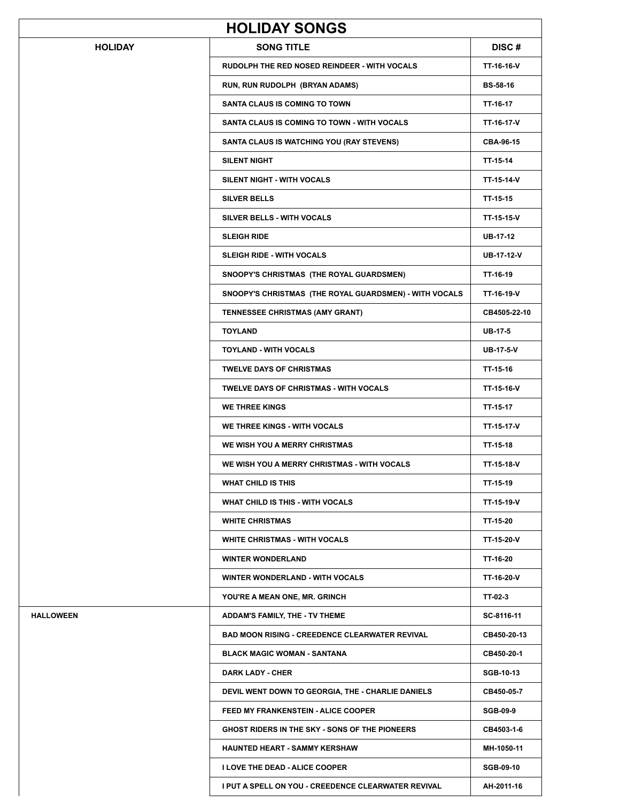|                  | <b>HOLIDAY SONGS</b>                                   |                  |
|------------------|--------------------------------------------------------|------------------|
| <b>HOLIDAY</b>   | <b>SONG TITLE</b>                                      | <b>DISC#</b>     |
|                  | <b>RUDOLPH THE RED NOSED REINDEER - WITH VOCALS</b>    | TT-16-16-V       |
|                  | RUN, RUN RUDOLPH (BRYAN ADAMS)                         | <b>BS-58-16</b>  |
|                  | <b>SANTA CLAUS IS COMING TO TOWN</b>                   | TT-16-17         |
|                  | SANTA CLAUS IS COMING TO TOWN - WITH VOCALS            | TT-16-17-V       |
|                  | SANTA CLAUS IS WATCHING YOU (RAY STEVENS)              | CBA-96-15        |
|                  | <b>SILENT NIGHT</b>                                    | TT-15-14         |
|                  | SILENT NIGHT - WITH VOCALS                             | TT-15-14-V       |
|                  | <b>SILVER BELLS</b>                                    | TT-15-15         |
|                  | SILVER BELLS - WITH VOCALS                             | TT-15-15-V       |
|                  | <b>SLEIGH RIDE</b>                                     | UB-17-12         |
|                  | <b>SLEIGH RIDE - WITH VOCALS</b>                       | UB-17-12-V       |
|                  | SNOOPY'S CHRISTMAS (THE ROYAL GUARDSMEN)               | TT-16-19         |
|                  | SNOOPY'S CHRISTMAS (THE ROYAL GUARDSMEN) - WITH VOCALS | TT-16-19-V       |
|                  | <b>TENNESSEE CHRISTMAS (AMY GRANT)</b>                 | CB4505-22-10     |
|                  | <b>TOYLAND</b>                                         | <b>UB-17-5</b>   |
|                  | <b>TOYLAND - WITH VOCALS</b>                           | <b>UB-17-5-V</b> |
|                  | <b>TWELVE DAYS OF CHRISTMAS</b>                        | TT-15-16         |
|                  | <b>TWELVE DAYS OF CHRISTMAS - WITH VOCALS</b>          | TT-15-16-V       |
|                  | <b>WE THREE KINGS</b>                                  | TT-15-17         |
|                  | WE THREE KINGS - WITH VOCALS                           | TT-15-17-V       |
|                  | WE WISH YOU A MERRY CHRISTMAS                          | TT-15-18         |
|                  | WE WISH YOU A MERRY CHRISTMAS - WITH VOCALS            | TT-15-18-V       |
|                  | WHAT CHILD IS THIS                                     | TT-15-19         |
|                  | WHAT CHILD IS THIS - WITH VOCALS                       | TT-15-19-V       |
|                  | <b>WHITE CHRISTMAS</b>                                 | TT-15-20         |
|                  | WHITE CHRISTMAS - WITH VOCALS                          | TT-15-20-V       |
|                  | <b>WINTER WONDERLAND</b>                               | TT-16-20         |
|                  | <b>WINTER WONDERLAND - WITH VOCALS</b>                 | TT-16-20-V       |
|                  | YOU'RE A MEAN ONE, MR. GRINCH                          | TT-02-3          |
| <b>HALLOWEEN</b> | ADDAM'S FAMILY, THE - TV THEME                         | SC-8116-11       |
|                  | <b>BAD MOON RISING - CREEDENCE CLEARWATER REVIVAL</b>  | CB450-20-13      |
|                  | <b>BLACK MAGIC WOMAN - SANTANA</b>                     | CB450-20-1       |
|                  | <b>DARK LADY - CHER</b>                                | <b>SGB-10-13</b> |
|                  | DEVIL WENT DOWN TO GEORGIA, THE - CHARLIE DANIELS      | CB450-05-7       |
|                  | <b>FEED MY FRANKENSTEIN - ALICE COOPER</b>             | <b>SGB-09-9</b>  |
|                  | GHOST RIDERS IN THE SKY - SONS OF THE PIONEERS         | CB4503-1-6       |
|                  | <b>HAUNTED HEART - SAMMY KERSHAW</b>                   | MH-1050-11       |
|                  | <b>I LOVE THE DEAD - ALICE COOPER</b>                  | <b>SGB-09-10</b> |
|                  | I PUT A SPELL ON YOU - CREEDENCE CLEARWATER REVIVAL    | AH-2011-16       |